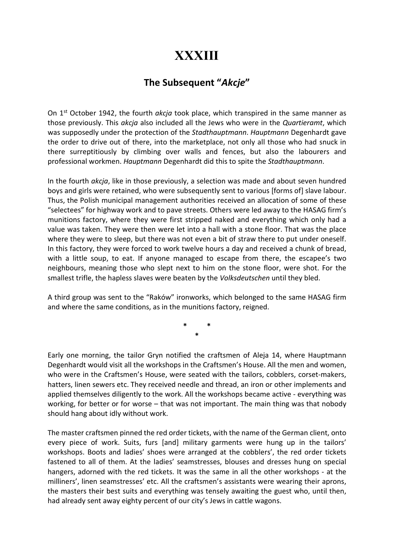## **XXXIII**

## The Subsequent "Akcje"

On  $1<sup>st</sup>$  October 1942, the fourth *akcja* took place, which transpired in the same manner as those previously. This akcja also included all the Jews who were in the Quartieramt, which was supposedly under the protection of the Stadthauptmann. Hauptmann Degenhardt gave the order to drive out of there, into the marketplace, not only all those who had snuck in there surreptitiously by climbing over walls and fences, but also the labourers and professional workmen. Hauptmann Degenhardt did this to spite the Stadthauptmann.

In the fourth *akcja*, like in those previously, a selection was made and about seven hundred boys and girls were retained, who were subsequently sent to various [forms of] slave labour. Thus, the Polish municipal management authorities received an allocation of some of these "selectees" for highway work and to pave streets. Others were led away to the HASAG firm's munitions factory, where they were first stripped naked and everything which only had a value was taken. They were then were let into a hall with a stone floor. That was the place where they were to sleep, but there was not even a bit of straw there to put under oneself. In this factory, they were forced to work twelve hours a day and received a chunk of bread, with a little soup, to eat. If anyone managed to escape from there, the escapee's two neighbours, meaning those who slept next to him on the stone floor, were shot. For the smallest trifle, the hapless slaves were beaten by the Volksdeutschen until they bled.

A third group was sent to the "Raków" ironworks, which belonged to the same HASAG firm and where the same conditions, as in the munitions factory, reigned.

> \* \* \*

Early one morning, the tailor Gryn notified the craftsmen of Aleja 14, where Hauptmann Degenhardt would visit all the workshops in the Craftsmen's House. All the men and women, who were in the Craftsmen's House, were seated with the tailors, cobblers, corset-makers, hatters, linen sewers etc. They received needle and thread, an iron or other implements and applied themselves diligently to the work. All the workshops became active - everything was working, for better or for worse – that was not important. The main thing was that nobody should hang about idly without work.

The master craftsmen pinned the red order tickets, with the name of the German client, onto every piece of work. Suits, furs [and] military garments were hung up in the tailors' workshops. Boots and ladies' shoes were arranged at the cobblers', the red order tickets fastened to all of them. At the ladies' seamstresses, blouses and dresses hung on special hangers, adorned with the red tickets. It was the same in all the other workshops - at the milliners', linen seamstresses' etc. All the craftsmen's assistants were wearing their aprons, the masters their best suits and everything was tensely awaiting the guest who, until then, had already sent away eighty percent of our city's Jews in cattle wagons.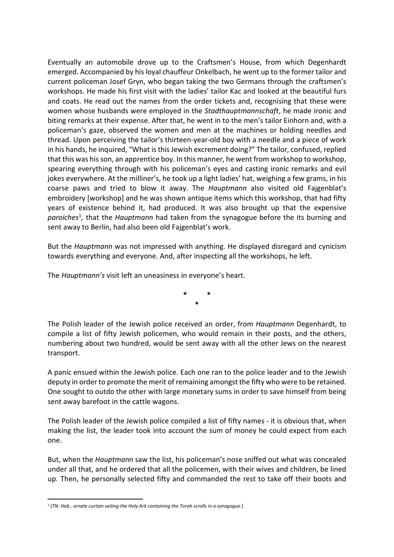Eventually an automobile drove up to the Craftsmen's House, from which Degenhardt emerged. Accompanied by his loyal chauffeur Onkelbach, he went up to the former tailor and current policeman Josef Gryn, who began taking the two Germans through the craftsmen's workshops. He made his first visit with the ladies' tailor Kac and looked at the beautiful furs and coats. He read out the names from the order tickets and, recognising that these were women whose husbands were employed in the *Stadthauptmannschaft*, he made ironic and biting remarks at their expense. After that, he went in to the men's tailor Einhorn and, with a policeman's gaze, observed the women and men at the machines or holding needles and thread. Upon perceiving the tailor's thirteen-year-old boy with a needle and a piece of work in his hands, he inquired, "What is this Jewish excrement doing?" The tailor, confused, replied that this was his son, an apprentice boy. In this manner, he went from workshop to workshop, spearing everything through with his policeman's eyes and casting ironic remarks and evil jokes everywhere. At the milliner's, he took up a light ladies' hat, weighing a few grams, in his coarse paws and tried to blow it away. The Hauptmann also visited old Fajgenblat's embroidery [workshop] and he was shown antique items which this workshop, that had fifty years of existence behind it, had produced. It was also brought up that the expensive paroiches<sup>1</sup>, that the Hauptmann had taken from the synagogue before the its burning and sent away to Berlin, had also been old Fajgenblat's work.

But the Hauptmann was not impressed with anything. He displayed disregard and cynicism towards everything and everyone. And, after inspecting all the workshops, he left.

The *Hauptmann's* visit left an uneasiness in everyone's heart.

\* \* \*

The Polish leader of the Jewish police received an order, from Hauptmann Degenhardt, to compile a list of fifty Jewish policemen, who would remain in their posts, and the others, numbering about two hundred, would be sent away with all the other Jews on the nearest transport.

A panic ensued within the Jewish police. Each one ran to the police leader and to the Jewish deputy in order to promote the merit of remaining amongst the fifty who were to be retained. One sought to outdo the other with large monetary sums in order to save himself from being sent away barefoot in the cattle wagons.

The Polish leader of the Jewish police compiled a list of fifty names - it is obvious that, when making the list, the leader took into account the sum of money he could expect from each one.

But, when the *Hauptmann* saw the list, his policeman's nose sniffed out what was concealed under all that, and he ordered that all the policemen, with their wives and children, be lined up. Then, he personally selected fifty and commanded the rest to take off their boots and

<sup>1</sup> [TN: Heb., ornate curtain veiling the Holy Ark containing the Torah scrolls in a synagogue.]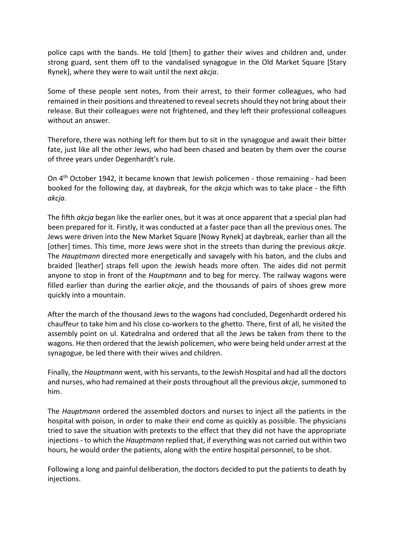police caps with the bands. He told [them] to gather their wives and children and, under strong guard, sent them off to the vandalised synagogue in the Old Market Square [Stary Rynek], where they were to wait until the next akcja.

Some of these people sent notes, from their arrest, to their former colleagues, who had remained in their positions and threatened to reveal secrets should they not bring about their release. But their colleagues were not frightened, and they left their professional colleagues without an answer.

Therefore, there was nothing left for them but to sit in the synagogue and await their bitter fate, just like all the other Jews, who had been chased and beaten by them over the course of three years under Degenhardt's rule.

On 4th October 1942, it became known that Jewish policemen - those remaining - had been booked for the following day, at daybreak, for the akcja which was to take place - the fifth akcja.

The fifth akcja began like the earlier ones, but it was at once apparent that a special plan had been prepared for it. Firstly, it was conducted at a faster pace than all the previous ones. The Jews were driven into the New Market Square [Nowy Rynek] at daybreak, earlier than all the [other] times. This time, more Jews were shot in the streets than during the previous *akcje*. The Hauptmann directed more energetically and savagely with his baton, and the clubs and braided [leather] straps fell upon the Jewish heads more often. The aides did not permit anyone to stop in front of the *Hauptmann* and to beg for mercy. The railway wagons were filled earlier than during the earlier  $akcje$ , and the thousands of pairs of shoes grew more quickly into a mountain.

After the march of the thousand Jews to the wagons had concluded, Degenhardt ordered his chauffeur to take him and his close co-workers to the ghetto. There, first of all, he visited the assembly point on ul. Katedralna and ordered that all the Jews be taken from there to the wagons. He then ordered that the Jewish policemen, who were being held under arrest at the synagogue, be led there with their wives and children.

Finally, the Hauptmann went, with his servants, to the Jewish Hospital and had all the doctors and nurses, who had remained at their posts throughout all the previous *akcje*, summoned to him.

The Hauptmann ordered the assembled doctors and nurses to inject all the patients in the hospital with poison, in order to make their end come as quickly as possible. The physicians tried to save the situation with pretexts to the effect that they did not have the appropriate injections - to which the *Hauptmann* replied that, if everything was not carried out within two hours, he would order the patients, along with the entire hospital personnel, to be shot.

Following a long and painful deliberation, the doctors decided to put the patients to death by injections.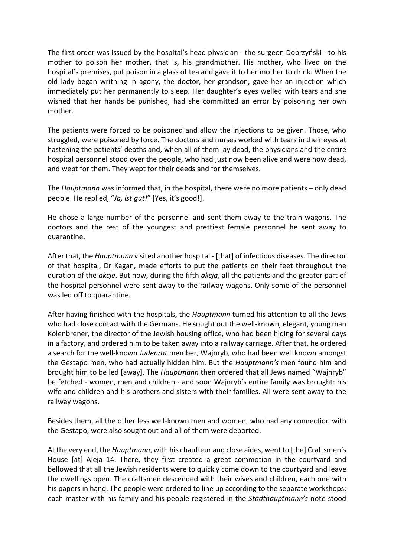The first order was issued by the hospital's head physician - the surgeon Dobrzyński - to his mother to poison her mother, that is, his grandmother. His mother, who lived on the hospital's premises, put poison in a glass of tea and gave it to her mother to drink. When the old lady began writhing in agony, the doctor, her grandson, gave her an injection which immediately put her permanently to sleep. Her daughter's eyes welled with tears and she wished that her hands be punished, had she committed an error by poisoning her own mother.

The patients were forced to be poisoned and allow the injections to be given. Those, who struggled, were poisoned by force. The doctors and nurses worked with tears in their eyes at hastening the patients' deaths and, when all of them lay dead, the physicians and the entire hospital personnel stood over the people, who had just now been alive and were now dead, and wept for them. They wept for their deeds and for themselves.

The Hauptmann was informed that, in the hospital, there were no more patients – only dead people. He replied, "Ja, ist gut!" [Yes, it's good!].

He chose a large number of the personnel and sent them away to the train wagons. The doctors and the rest of the youngest and prettiest female personnel he sent away to quarantine.

After that, the *Hauptmann* visited another hospital - [that] of infectious diseases. The director of that hospital, Dr Kagan, made efforts to put the patients on their feet throughout the duration of the akcje. But now, during the fifth akcja, all the patients and the greater part of the hospital personnel were sent away to the railway wagons. Only some of the personnel was led off to quarantine.

After having finished with the hospitals, the Hauptmann turned his attention to all the Jews who had close contact with the Germans. He sought out the well-known, elegant, young man Kolenbrener, the director of the Jewish housing office, who had been hiding for several days in a factory, and ordered him to be taken away into a railway carriage. After that, he ordered a search for the well-known Judenrat member, Wajnryb, who had been well known amongst the Gestapo men, who had actually hidden him. But the Hauptmann's men found him and brought him to be led [away]. The Hauptmann then ordered that all Jews named "Wajnryb" be fetched - women, men and children - and soon Wajnryb's entire family was brought: his wife and children and his brothers and sisters with their families. All were sent away to the railway wagons.

Besides them, all the other less well-known men and women, who had any connection with the Gestapo, were also sought out and all of them were deported.

At the very end, the *Hauptmann*, with his chauffeur and close aides, went to [the] Craftsmen's House [at] Aleja 14. There, they first created a great commotion in the courtyard and bellowed that all the Jewish residents were to quickly come down to the courtyard and leave the dwellings open. The craftsmen descended with their wives and children, each one with his papers in hand. The people were ordered to line up according to the separate workshops; each master with his family and his people registered in the Stadthauptmann's note stood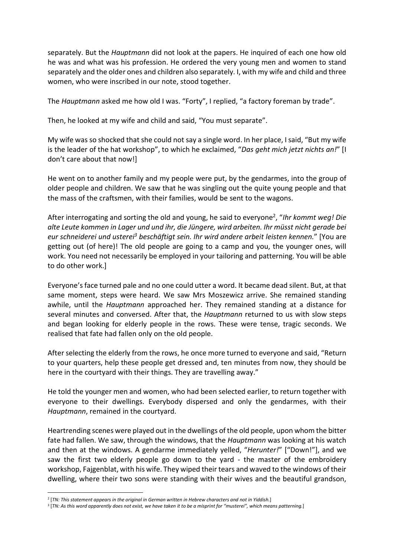separately. But the *Hauptmann* did not look at the papers. He inquired of each one how old he was and what was his profession. He ordered the very young men and women to stand separately and the older ones and children also separately. I, with my wife and child and three women, who were inscribed in our note, stood together.

The Hauptmann asked me how old I was. "Forty", I replied, "a factory foreman by trade".

Then, he looked at my wife and child and said, "You must separate".

My wife was so shocked that she could not say a single word. In her place, I said, "But my wife is the leader of the hat workshop", to which he exclaimed, "Das geht mich jetzt nichts an!" [I don't care about that now!]

He went on to another family and my people were put, by the gendarmes, into the group of older people and children. We saw that he was singling out the quite young people and that the mass of the craftsmen, with their families, would be sent to the wagons.

After interrogating and sorting the old and young, he said to everyone<sup>2</sup>, "Ihr kommt weg! Die alte Leute kommen in Lager und und ihr, die Jüngere, wird arbeiten. Ihr müsst nicht gerade bei eur schneiderei und usterei<sup>3</sup> beschäftigt sein. Ihr wird andere arbeit leisten kennen." [You are getting out (of here)! The old people are going to a camp and you, the younger ones, will work. You need not necessarily be employed in your tailoring and patterning. You will be able to do other work.]

Everyone's face turned pale and no one could utter a word. It became dead silent. But, at that same moment, steps were heard. We saw Mrs Moszewicz arrive. She remained standing awhile, until the *Hauptmann* approached her. They remained standing at a distance for several minutes and conversed. After that, the Hauptmann returned to us with slow steps and began looking for elderly people in the rows. These were tense, tragic seconds. We realised that fate had fallen only on the old people.

After selecting the elderly from the rows, he once more turned to everyone and said, "Return to your quarters, help these people get dressed and, ten minutes from now, they should be here in the courtyard with their things. They are travelling away."

He told the younger men and women, who had been selected earlier, to return together with everyone to their dwellings. Everybody dispersed and only the gendarmes, with their Hauptmann, remained in the courtyard.

Heartrending scenes were played out in the dwellings of the old people, upon whom the bitter fate had fallen. We saw, through the windows, that the *Hauptmann* was looking at his watch and then at the windows. A gendarme immediately yelled, "Herunter!" ["Down!"], and we saw the first two elderly people go down to the yard - the master of the embroidery workshop, Fajgenblat, with his wife. They wiped their tears and waved to the windows of their dwelling, where their two sons were standing with their wives and the beautiful grandson,

<sup>&</sup>lt;sup>2</sup> [TN: This statement appears in the original in German written in Hebrew characters and not in Yiddish.]

<sup>&</sup>lt;sup>3</sup> [TN: As this word apparently does not exist, we have taken it to be a misprint for "musterei", which means patterning.]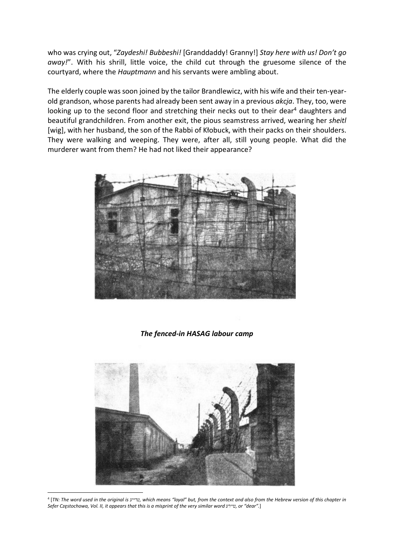who was crying out, "Zaydeshi! Bubbeshi! [Granddaddy! Granny!] Stay here with us! Don't go away!". With his shrill, little voice, the child cut through the gruesome silence of the courtyard, where the Hauptmann and his servants were ambling about.

The elderly couple was soon joined by the tailor Brandlewicz, with his wife and their ten-yearold grandson, whose parents had already been sent away in a previous akcja. They, too, were looking up to the second floor and stretching their necks out to their dear<sup>4</sup> daughters and beautiful grandchildren. From another exit, the pious seamstress arrived, wearing her sheitl [wig], with her husband, the son of the Rabbi of Kłobuck, with their packs on their shoulders. They were walking and weeping. They were, after all, still young people. What did the murderer want from them? He had not liked their appearance?



The fenced-in HASAG labour camp



4 [TN: The word used in the original is טרייע, which means "loyal" but, from the context and also from the Hebrew version of this chapter in Sefer Częstochowa, Vol. II, it appears that this is a misprint of the very similar word טיירע, or "dear".]